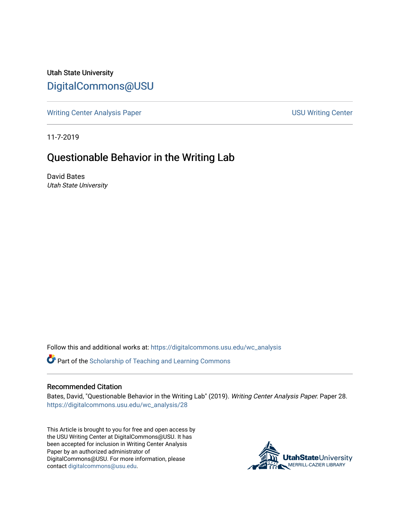Utah State University [DigitalCommons@USU](https://digitalcommons.usu.edu/)

[Writing Center Analysis Paper](https://digitalcommons.usu.edu/wc_analysis) National Communication of the USU Writing Center

11-7-2019

# Questionable Behavior in the Writing Lab

David Bates Utah State University

Follow this and additional works at: [https://digitalcommons.usu.edu/wc\\_analysis](https://digitalcommons.usu.edu/wc_analysis?utm_source=digitalcommons.usu.edu%2Fwc_analysis%2F28&utm_medium=PDF&utm_campaign=PDFCoverPages) 

Part of the [Scholarship of Teaching and Learning Commons](http://network.bepress.com/hgg/discipline/1328?utm_source=digitalcommons.usu.edu%2Fwc_analysis%2F28&utm_medium=PDF&utm_campaign=PDFCoverPages) 

#### Recommended Citation

Bates, David, "Questionable Behavior in the Writing Lab" (2019). Writing Center Analysis Paper. Paper 28. [https://digitalcommons.usu.edu/wc\\_analysis/28](https://digitalcommons.usu.edu/wc_analysis/28?utm_source=digitalcommons.usu.edu%2Fwc_analysis%2F28&utm_medium=PDF&utm_campaign=PDFCoverPages)

This Article is brought to you for free and open access by the USU Writing Center at DigitalCommons@USU. It has been accepted for inclusion in Writing Center Analysis Paper by an authorized administrator of DigitalCommons@USU. For more information, please contact [digitalcommons@usu.edu](mailto:digitalcommons@usu.edu).

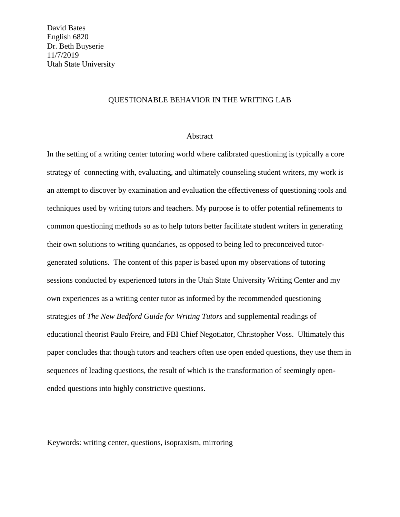# QUESTIONABLE BEHAVIOR IN THE WRITING LAB

### Abstract

In the setting of a writing center tutoring world where calibrated questioning is typically a core strategy of connecting with, evaluating, and ultimately counseling student writers, my work is an attempt to discover by examination and evaluation the effectiveness of questioning tools and techniques used by writing tutors and teachers. My purpose is to offer potential refinements to common questioning methods so as to help tutors better facilitate student writers in generating their own solutions to writing quandaries, as opposed to being led to preconceived tutorgenerated solutions. The content of this paper is based upon my observations of tutoring sessions conducted by experienced tutors in the Utah State University Writing Center and my own experiences as a writing center tutor as informed by the recommended questioning strategies of *The New Bedford Guide for Writing Tutors* and supplemental readings of educational theorist Paulo Freire, and FBI Chief Negotiator, Christopher Voss. Ultimately this paper concludes that though tutors and teachers often use open ended questions, they use them in sequences of leading questions, the result of which is the transformation of seemingly openended questions into highly constrictive questions.

Keywords: writing center, questions, isopraxism, mirroring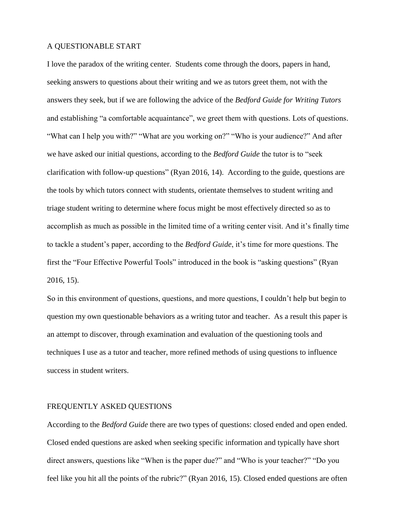#### A QUESTIONABLE START

I love the paradox of the writing center. Students come through the doors, papers in hand, seeking answers to questions about their writing and we as tutors greet them, not with the answers they seek, but if we are following the advice of the *Bedford Guide for Writing Tutors*  and establishing "a comfortable acquaintance", we greet them with questions. Lots of questions. "What can I help you with?" "What are you working on?" "Who is your audience?" And after we have asked our initial questions, according to the *Bedford Guide* the tutor is to "seek clarification with follow-up questions" (Ryan 2016, 14). According to the guide, questions are the tools by which tutors connect with students, orientate themselves to student writing and triage student writing to determine where focus might be most effectively directed so as to accomplish as much as possible in the limited time of a writing center visit. And it's finally time to tackle a student's paper, according to the *Bedford Guide*, it's time for more questions. The first the "Four Effective Powerful Tools" introduced in the book is "asking questions" (Ryan 2016, 15).

So in this environment of questions, questions, and more questions, I couldn't help but begin to question my own questionable behaviors as a writing tutor and teacher. As a result this paper is an attempt to discover, through examination and evaluation of the questioning tools and techniques I use as a tutor and teacher, more refined methods of using questions to influence success in student writers.

#### FREQUENTLY ASKED QUESTIONS

According to the *Bedford Guide* there are two types of questions: closed ended and open ended. Closed ended questions are asked when seeking specific information and typically have short direct answers, questions like "When is the paper due?" and "Who is your teacher?" "Do you feel like you hit all the points of the rubric?" (Ryan 2016, 15). Closed ended questions are often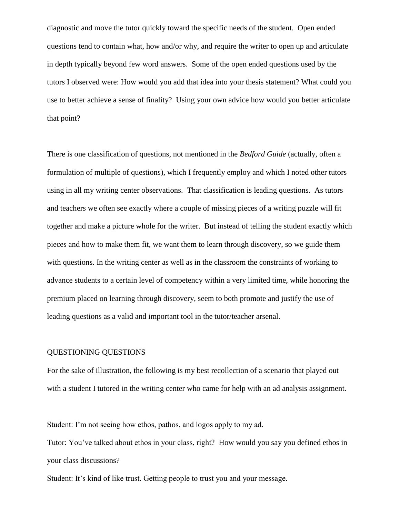diagnostic and move the tutor quickly toward the specific needs of the student. Open ended questions tend to contain what, how and/or why, and require the writer to open up and articulate in depth typically beyond few word answers. Some of the open ended questions used by the tutors I observed were: How would you add that idea into your thesis statement? What could you use to better achieve a sense of finality? Using your own advice how would you better articulate that point?

There is one classification of questions, not mentioned in the *Bedford Guide* (actually, often a formulation of multiple of questions), which I frequently employ and which I noted other tutors using in all my writing center observations. That classification is leading questions. As tutors and teachers we often see exactly where a couple of missing pieces of a writing puzzle will fit together and make a picture whole for the writer. But instead of telling the student exactly which pieces and how to make them fit, we want them to learn through discovery, so we guide them with questions. In the writing center as well as in the classroom the constraints of working to advance students to a certain level of competency within a very limited time, while honoring the premium placed on learning through discovery, seem to both promote and justify the use of leading questions as a valid and important tool in the tutor/teacher arsenal.

# QUESTIONING QUESTIONS

For the sake of illustration, the following is my best recollection of a scenario that played out with a student I tutored in the writing center who came for help with an ad analysis assignment.

Student: I'm not seeing how ethos, pathos, and logos apply to my ad.

Tutor: You've talked about ethos in your class, right? How would you say you defined ethos in your class discussions?

Student: It's kind of like trust. Getting people to trust you and your message.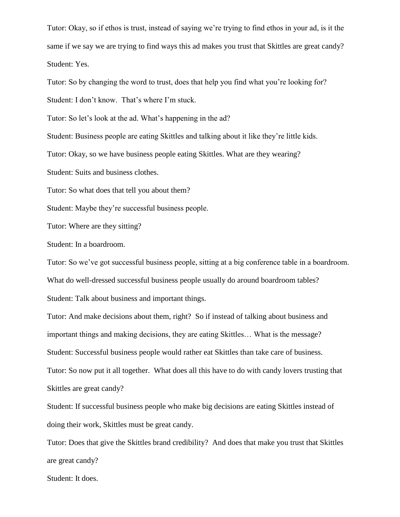Tutor: Okay, so if ethos is trust, instead of saying we're trying to find ethos in your ad, is it the same if we say we are trying to find ways this ad makes you trust that Skittles are great candy? Student: Yes.

Tutor: So by changing the word to trust, does that help you find what you're looking for?

Student: I don't know. That's where I'm stuck.

Tutor: So let's look at the ad. What's happening in the ad?

Student: Business people are eating Skittles and talking about it like they're little kids.

Tutor: Okay, so we have business people eating Skittles. What are they wearing?

Student: Suits and business clothes.

Tutor: So what does that tell you about them?

Student: Maybe they're successful business people.

Tutor: Where are they sitting?

Student: In a boardroom.

Tutor: So we've got successful business people, sitting at a big conference table in a boardroom.

What do well-dressed successful business people usually do around boardroom tables?

Student: Talk about business and important things.

Tutor: And make decisions about them, right? So if instead of talking about business and important things and making decisions, they are eating Skittles… What is the message? Student: Successful business people would rather eat Skittles than take care of business. Tutor: So now put it all together. What does all this have to do with candy lovers trusting that Skittles are great candy?

Student: If successful business people who make big decisions are eating Skittles instead of doing their work, Skittles must be great candy.

Tutor: Does that give the Skittles brand credibility? And does that make you trust that Skittles are great candy?

Student: It does.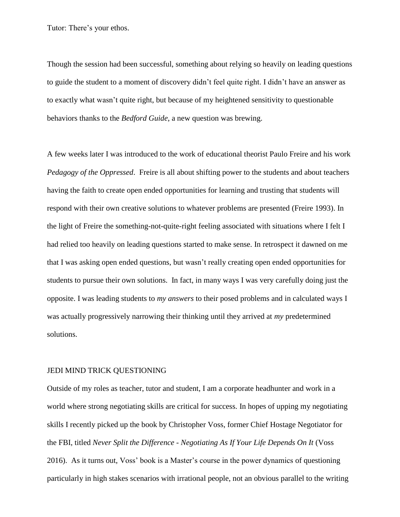Tutor: There's your ethos.

Though the session had been successful, something about relying so heavily on leading questions to guide the student to a moment of discovery didn't feel quite right. I didn't have an answer as to exactly what wasn't quite right, but because of my heightened sensitivity to questionable behaviors thanks to the *Bedford Guide*, a new question was brewing.

A few weeks later I was introduced to the work of educational theorist Paulo Freire and his work *Pedagogy of the Oppressed*. Freire is all about shifting power to the students and about teachers having the faith to create open ended opportunities for learning and trusting that students will respond with their own creative solutions to whatever problems are presented (Freire 1993). In the light of Freire the something-not-quite-right feeling associated with situations where I felt I had relied too heavily on leading questions started to make sense. In retrospect it dawned on me that I was asking open ended questions, but wasn't really creating open ended opportunities for students to pursue their own solutions. In fact, in many ways I was very carefully doing just the opposite. I was leading students to *my answers* to their posed problems and in calculated ways I was actually progressively narrowing their thinking until they arrived at *my* predetermined solutions.

# JEDI MIND TRICK QUESTIONING

Outside of my roles as teacher, tutor and student, I am a corporate headhunter and work in a world where strong negotiating skills are critical for success. In hopes of upping my negotiating skills I recently picked up the book by Christopher Voss, former Chief Hostage Negotiator for the FBI, titled *Never Split the Difference - Negotiating As If Your Life Depends On It* (Voss 2016). As it turns out, Voss' book is a Master's course in the power dynamics of questioning particularly in high stakes scenarios with irrational people, not an obvious parallel to the writing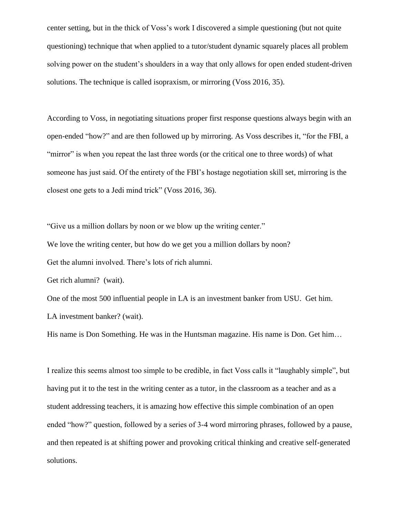center setting, but in the thick of Voss's work I discovered a simple questioning (but not quite questioning) technique that when applied to a tutor/student dynamic squarely places all problem solving power on the student's shoulders in a way that only allows for open ended student-driven solutions. The technique is called isopraxism, or mirroring (Voss 2016, 35).

According to Voss, in negotiating situations proper first response questions always begin with an open-ended "how?" and are then followed up by mirroring. As Voss describes it, "for the FBI, a "mirror" is when you repeat the last three words (or the critical one to three words) of what someone has just said. Of the entirety of the FBI's hostage negotiation skill set, mirroring is the closest one gets to a Jedi mind trick" (Voss 2016, 36).

"Give us a million dollars by noon or we blow up the writing center."

We love the writing center, but how do we get you a million dollars by noon?

Get the alumni involved. There's lots of rich alumni.

Get rich alumni? (wait).

One of the most 500 influential people in LA is an investment banker from USU. Get him. LA investment banker? (wait).

His name is Don Something. He was in the Huntsman magazine. His name is Don. Get him...

I realize this seems almost too simple to be credible, in fact Voss calls it "laughably simple", but having put it to the test in the writing center as a tutor, in the classroom as a teacher and as a student addressing teachers, it is amazing how effective this simple combination of an open ended "how?" question, followed by a series of 3-4 word mirroring phrases, followed by a pause, and then repeated is at shifting power and provoking critical thinking and creative self-generated solutions.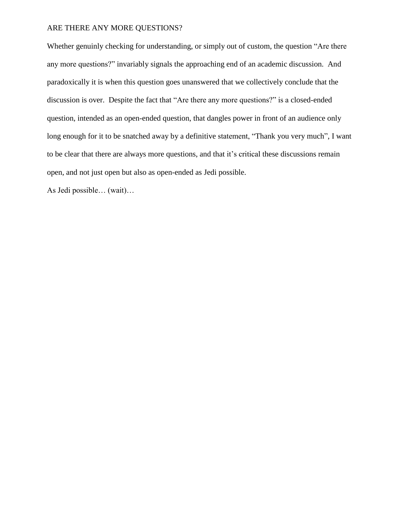#### ARE THERE ANY MORE QUESTIONS?

Whether genuinly checking for understanding, or simply out of custom, the question "Are there any more questions?" invariably signals the approaching end of an academic discussion. And paradoxically it is when this question goes unanswered that we collectively conclude that the discussion is over. Despite the fact that "Are there any more questions?" is a closed-ended question, intended as an open-ended question, that dangles power in front of an audience only long enough for it to be snatched away by a definitive statement, "Thank you very much", I want to be clear that there are always more questions, and that it's critical these discussions remain open, and not just open but also as open-ended as Jedi possible.

As Jedi possible… (wait)…